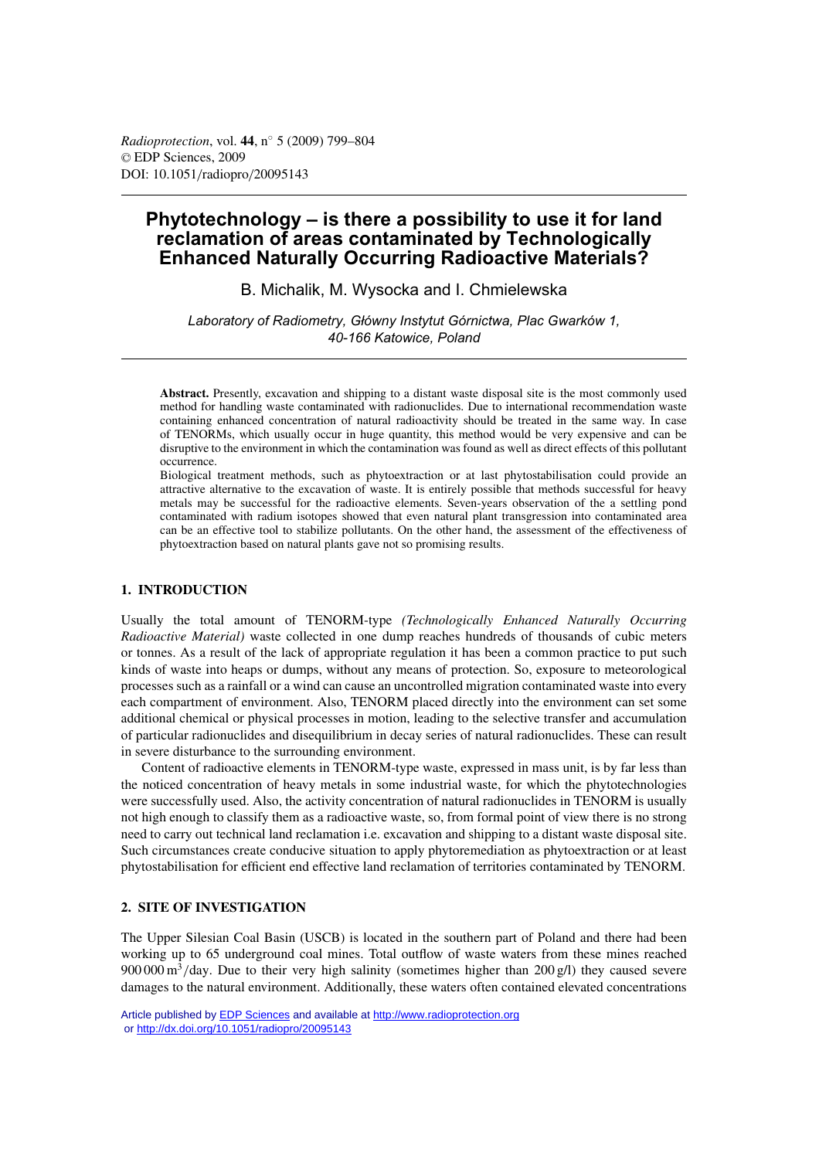# **Phytotechnology – is there a possibility to use it for land reclamation of areas contaminated by Technologically Enhanced Naturally Occurring Radioactive Materials?**

B. Michalik, M. Wysocka and I. Chmielewska

*Laboratory of Radiometry, Główny Instytut Górnictwa, Plac Gwarków 1, 40-166 Katowice, Poland*

**Abstract.** Presently, excavation and shipping to a distant waste disposal site is the most commonly used method for handling waste contaminated with radionuclides. Due to international recommendation waste containing enhanced concentration of natural radioactivity should be treated in the same way. In case of TENORMs, which usually occur in huge quantity, this method would be very expensive and can be disruptive to the environment in which the contamination was found as well as direct effects of this pollutant occurrence.

Biological treatment methods, such as phytoextraction or at last phytostabilisation could provide an attractive alternative to the excavation of waste. It is entirely possible that methods successful for heavy metals may be successful for the radioactive elements. Seven-years observation of the a settling pond contaminated with radium isotopes showed that even natural plant transgression into contaminated area can be an effective tool to stabilize pollutants. On the other hand, the assessment of the effectiveness of phytoextraction based on natural plants gave not so promising results.

### **1. INTRODUCTION**

Usually the total amount of TENORM-type *(Technologically Enhanced Naturally Occurring Radioactive Material)* waste collected in one dump reaches hundreds of thousands of cubic meters or tonnes. As a result of the lack of appropriate regulation it has been a common practice to put such kinds of waste into heaps or dumps, without any means of protection. So, exposure to meteorological processes such as a rainfall or a wind can cause an uncontrolled migration contaminated waste into every each compartment of environment. Also, TENORM placed directly into the environment can set some additional chemical or physical processes in motion, leading to the selective transfer and accumulation of particular radionuclides and disequilibrium in decay series of natural radionuclides. These can result in severe disturbance to the surrounding environment.

Content of radioactive elements in TENORM-type waste, expressed in mass unit, is by far less than the noticed concentration of heavy metals in some industrial waste, for which the phytotechnologies were successfully used. Also, the activity concentration of natural radionuclides in TENORM is usually not high enough to classify them as a radioactive waste, so, from formal point of view there is no strong need to carry out technical land reclamation i.e. excavation and shipping to a distant waste disposal site. Such circumstances create conducive situation to apply phytoremediation as phytoextraction or at least phytostabilisation for efficient end effective land reclamation of territories contaminated by TENORM.

### **2. SITE OF INVESTIGATION**

The Upper Silesian Coal Basin (USCB) is located in the southern part of Poland and there had been working up to 65 underground coal mines. Total outflow of waste waters from these mines reached 900 000  $\text{m}^3/\text{day}$ . Due to their very high salinity (sometimes higher than 200 g/l) they caused severe damages to the natural environment. Additionally, these waters often contained elevated concentrations

Article published by [EDP Sciences](http://www.edpsciences.org) and available at<http://www.radioprotection.org> or <http://dx.doi.org/10.1051/radiopro/20095143>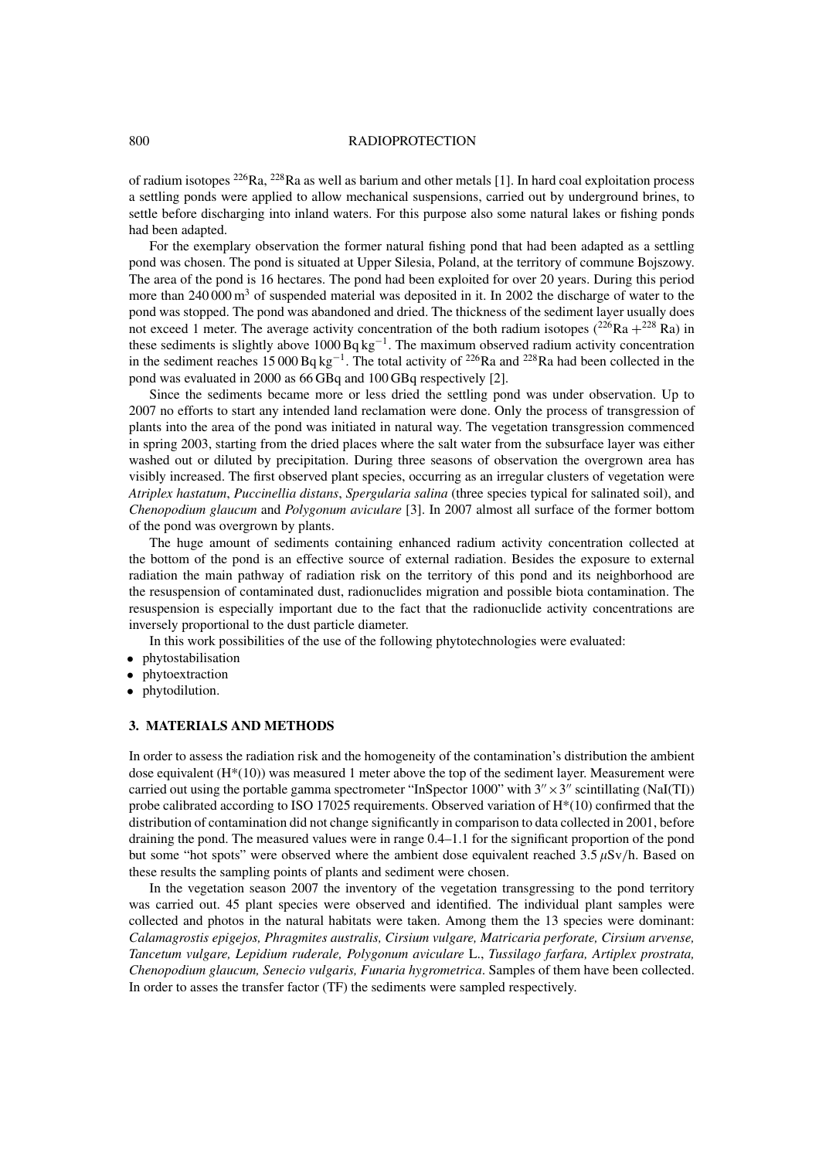### 800 RADIOPROTECTION

of radium isotopes 226Ra, 228Ra as well as barium and other metals [1]. In hard coal exploitation process a settling ponds were applied to allow mechanical suspensions, carried out by underground brines, to settle before discharging into inland waters. For this purpose also some natural lakes or fishing ponds had been adapted.

For the exemplary observation the former natural fishing pond that had been adapted as a settling pond was chosen. The pond is situated at Upper Silesia, Poland, at the territory of commune Bojszowy. The area of the pond is 16 hectares. The pond had been exploited for over 20 years. During this period more than 240 000 m<sup>3</sup> of suspended material was deposited in it. In 2002 the discharge of water to the pond was stopped. The pond was abandoned and dried. The thickness of the sediment layer usually does not exceed 1 meter. The average activity concentration of the both radium isotopes  $(^{226}Ra + ^{228}Ra)$  in these sediments is slightly above  $1000 \text{ Bq kg}^{-1}$ . The maximum observed radium activity concentration in the sediment reaches 15 000 Bq kg<sup>-1</sup>. The total activity of <sup>226</sup>Ra and <sup>228</sup>Ra had been collected in the pond was evaluated in 2000 as 66 GBq and 100 GBq respectively [2].

Since the sediments became more or less dried the settling pond was under observation. Up to 2007 no efforts to start any intended land reclamation were done. Only the process of transgression of plants into the area of the pond was initiated in natural way. The vegetation transgression commenced in spring 2003, starting from the dried places where the salt water from the subsurface layer was either washed out or diluted by precipitation. During three seasons of observation the overgrown area has visibly increased. The first observed plant species, occurring as an irregular clusters of vegetation were *Atriplex hastatum*, *Puccinellia distans*, *Spergularia salina* (three species typical for salinated soil), and *Chenopodium glaucum* and *Polygonum aviculare* [3]. In 2007 almost all surface of the former bottom of the pond was overgrown by plants.

The huge amount of sediments containing enhanced radium activity concentration collected at the bottom of the pond is an effective source of external radiation. Besides the exposure to external radiation the main pathway of radiation risk on the territory of this pond and its neighborhood are the resuspension of contaminated dust, radionuclides migration and possible biota contamination. The resuspension is especially important due to the fact that the radionuclide activity concentrations are inversely proportional to the dust particle diameter.

In this work possibilities of the use of the following phytotechnologies were evaluated:

- phytostabilisation
- phytoextraction
- phytodilution.

#### **3. MATERIALS AND METHODS**

In order to assess the radiation risk and the homogeneity of the contamination's distribution the ambient dose equivalent  $(H^*(10))$  was measured 1 meter above the top of the sediment layer. Measurement were carried out using the portable gamma spectrometer "InSpector 1000" with  $3'' \times 3''$  scintillating (NaI(TI)) probe calibrated according to ISO 17025 requirements. Observed variation of  $H^*(10)$  confirmed that the distribution of contamination did not change significantly in comparison to data collected in 2001, before draining the pond. The measured values were in range 0.4–1.1 for the significant proportion of the pond but some "hot spots" were observed where the ambient dose equivalent reached  $3.5 \mu Sv/h$ . Based on these results the sampling points of plants and sediment were chosen.

In the vegetation season 2007 the inventory of the vegetation transgressing to the pond territory was carried out. 45 plant species were observed and identified. The individual plant samples were collected and photos in the natural habitats were taken. Among them the 13 species were dominant: *Calamagrostis epigejos, Phragmites australis, Cirsium vulgare, Matricaria perforate, Cirsium arvense, Tancetum vulgare, Lepidium ruderale, Polygonum aviculare* L., *Tussilago farfara, Artiplex prostrata, Chenopodium glaucum, Senecio vulgaris, Funaria hygrometrica*. Samples of them have been collected. In order to asses the transfer factor (TF) the sediments were sampled respectively.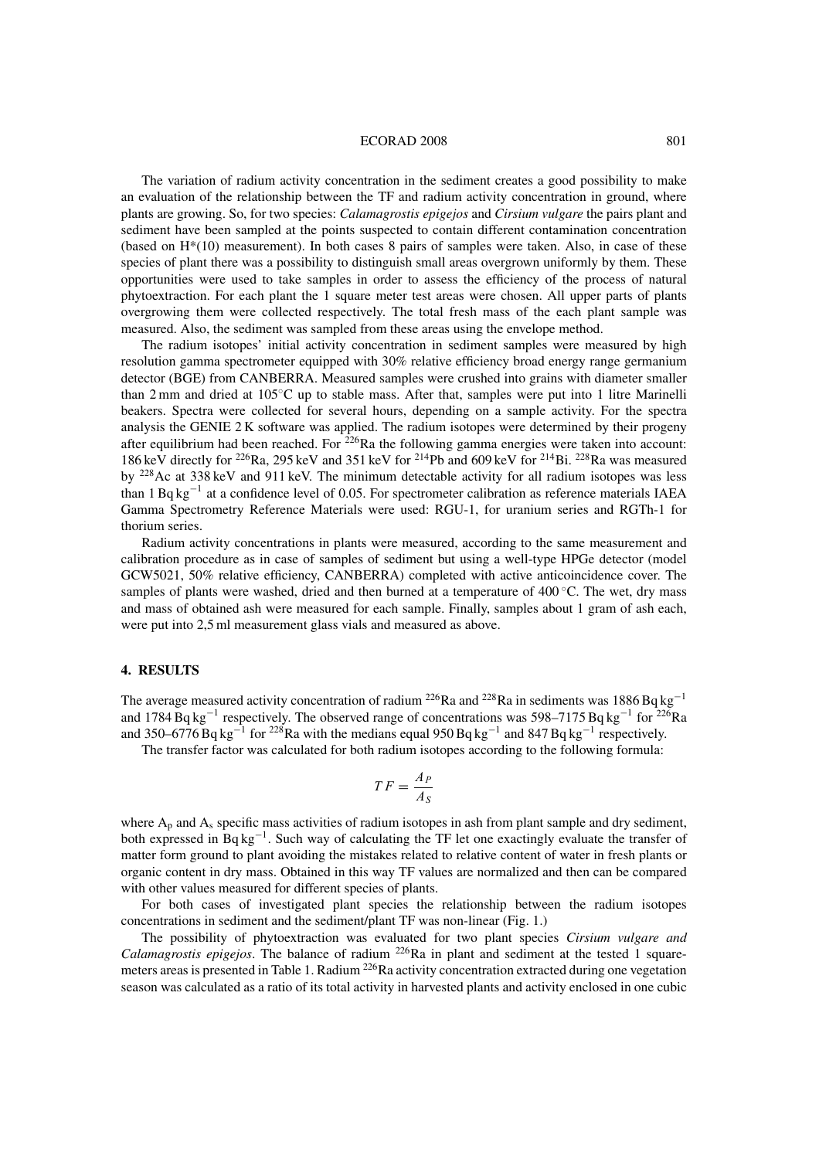#### ECORAD 2008 801

The variation of radium activity concentration in the sediment creates a good possibility to make an evaluation of the relationship between the TF and radium activity concentration in ground, where plants are growing. So, for two species: *Calamagrostis epigejos* and *Cirsium vulgare* the pairs plant and sediment have been sampled at the points suspected to contain different contamination concentration (based on H\*(10) measurement). In both cases 8 pairs of samples were taken. Also, in case of these species of plant there was a possibility to distinguish small areas overgrown uniformly by them. These opportunities were used to take samples in order to assess the efficiency of the process of natural phytoextraction. For each plant the 1 square meter test areas were chosen. All upper parts of plants overgrowing them were collected respectively. The total fresh mass of the each plant sample was measured. Also, the sediment was sampled from these areas using the envelope method.

The radium isotopes' initial activity concentration in sediment samples were measured by high resolution gamma spectrometer equipped with 30% relative efficiency broad energy range germanium detector (BGE) from CANBERRA. Measured samples were crushed into grains with diameter smaller than 2 mm and dried at 105◦C up to stable mass. After that, samples were put into 1 litre Marinelli beakers. Spectra were collected for several hours, depending on a sample activity. For the spectra analysis the GENIE 2 K software was applied. The radium isotopes were determined by their progeny after equilibrium had been reached. For  $^{226}$ Ra the following gamma energies were taken into account: 186 keV directly for 226Ra, 295 keV and 351 keV for 214Pb and 609 keV for 214Bi. 228Ra was measured by 228Ac at 338 keV and 911 keV. The minimum detectable activity for all radium isotopes was less than 1 Bq kg−<sup>1</sup> at a confidence level of 0.05. For spectrometer calibration as reference materials IAEA Gamma Spectrometry Reference Materials were used: RGU-1, for uranium series and RGTh-1 for thorium series.

Radium activity concentrations in plants were measured, according to the same measurement and calibration procedure as in case of samples of sediment but using a well-type HPGe detector (model GCW5021, 50% relative efficiency, CANBERRA) completed with active anticoincidence cover. The samples of plants were washed, dried and then burned at a temperature of 400 °C. The wet, dry mass and mass of obtained ash were measured for each sample. Finally, samples about 1 gram of ash each, were put into 2,5 ml measurement glass vials and measured as above.

# **4. RESULTS**

The average measured activity concentration of radium <sup>226</sup>Ra and <sup>228</sup>Ra in sediments was 1886 Bq kg<sup>-1</sup> and 1784 Bq kg<sup>-1</sup> respectively. The observed range of concentrations was 598–7175 Bq kg<sup>-1</sup> for <sup>226</sup>Ra and 350–6776 Bq kg<sup>-1</sup> for <sup>228</sup>Ra with the medians equal 950 Bq kg<sup>-1</sup> and 847 Bq kg<sup>-1</sup> respectively.

The transfer factor was calculated for both radium isotopes according to the following formula:

$$
TF = \frac{A_P}{A_S}
$$

where  $A_p$  and  $A_s$  specific mass activities of radium isotopes in ash from plant sample and dry sediment, both expressed in Bq kg<sup>-1</sup>. Such way of calculating the TF let one exactingly evaluate the transfer of matter form ground to plant avoiding the mistakes related to relative content of water in fresh plants or organic content in dry mass. Obtained in this way TF values are normalized and then can be compared with other values measured for different species of plants.

For both cases of investigated plant species the relationship between the radium isotopes concentrations in sediment and the sediment/plant TF was non-linear (Fig. 1.)

The possibility of phytoextraction was evaluated for two plant species *Cirsium vulgare and Calamagrostis epigejos*. The balance of radium 226Ra in plant and sediment at the tested 1 squaremeters areas is presented in Table 1. Radium <sup>226</sup>Ra activity concentration extracted during one vegetation season was calculated as a ratio of its total activity in harvested plants and activity enclosed in one cubic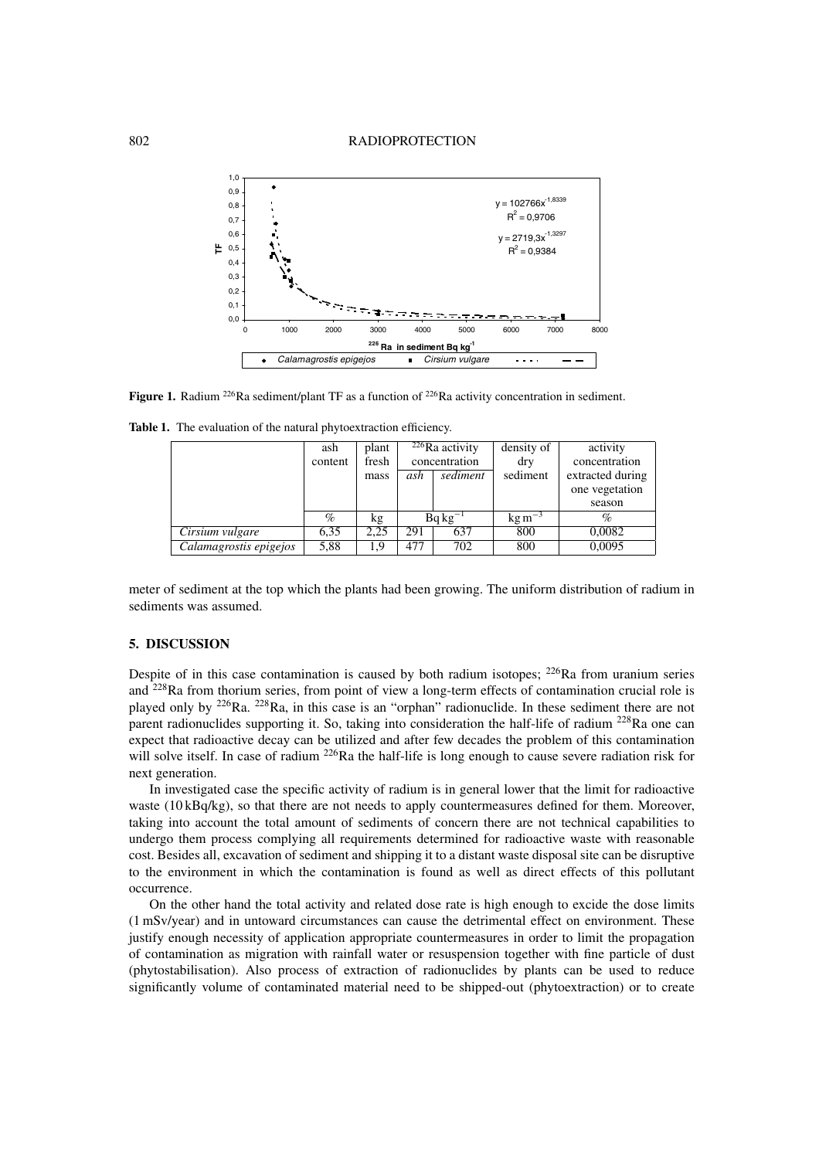#### 802 RADIOPROTECTION



**Figure 1.** Radium <sup>226</sup>Ra sediment/plant TF as a function of <sup>226</sup>Ra activity concentration in sediment.

Table 1. The evaluation of the natural phytoextraction efficiency.

|                        | ash     | plant | $\sqrt[226]{\text{Ra}}$ activity |          | density of                     | activity         |
|------------------------|---------|-------|----------------------------------|----------|--------------------------------|------------------|
|                        | content | fresh | concentration                    |          | dry                            | concentration    |
|                        |         | mass  | ash                              | sediment | sediment                       | extracted during |
|                        |         |       |                                  |          |                                | one vegetation   |
|                        |         |       |                                  |          |                                | season           |
|                        | $\%$    | kg    | $Bqkg^{-1}$                      |          | $\mathrm{kg}\,\mathrm{m}^{-3}$ | ‰                |
| Cirsium vulgare        | 6,35    | 2,25  | 291                              | 637      | 800                            | 0,0082           |
| Calamagrostis epigejos | 5,88    | 1.9   | 477                              | 702      | 800                            | 0,0095           |

meter of sediment at the top which the plants had been growing. The uniform distribution of radium in sediments was assumed.

### **5. DISCUSSION**

Despite of in this case contamination is caused by both radium isotopes; <sup>226</sup>Ra from uranium series and 228Ra from thorium series, from point of view a long-term effects of contamination crucial role is played only by 226Ra. 228Ra, in this case is an "orphan" radionuclide. In these sediment there are not parent radionuclides supporting it. So, taking into consideration the half-life of radium <sup>228</sup>Ra one can expect that radioactive decay can be utilized and after few decades the problem of this contamination will solve itself. In case of radium  $^{226}$ Ra the half-life is long enough to cause severe radiation risk for next generation.

In investigated case the specific activity of radium is in general lower that the limit for radioactive waste (10 kBq/kg), so that there are not needs to apply countermeasures defined for them. Moreover, taking into account the total amount of sediments of concern there are not technical capabilities to undergo them process complying all requirements determined for radioactive waste with reasonable cost. Besides all, excavation of sediment and shipping it to a distant waste disposal site can be disruptive to the environment in which the contamination is found as well as direct effects of this pollutant occurrence.

On the other hand the total activity and related dose rate is high enough to excide the dose limits (1 mSv/year) and in untoward circumstances can cause the detrimental effect on environment. These justify enough necessity of application appropriate countermeasures in order to limit the propagation of contamination as migration with rainfall water or resuspension together with fine particle of dust (phytostabilisation). Also process of extraction of radionuclides by plants can be used to reduce significantly volume of contaminated material need to be shipped-out (phytoextraction) or to create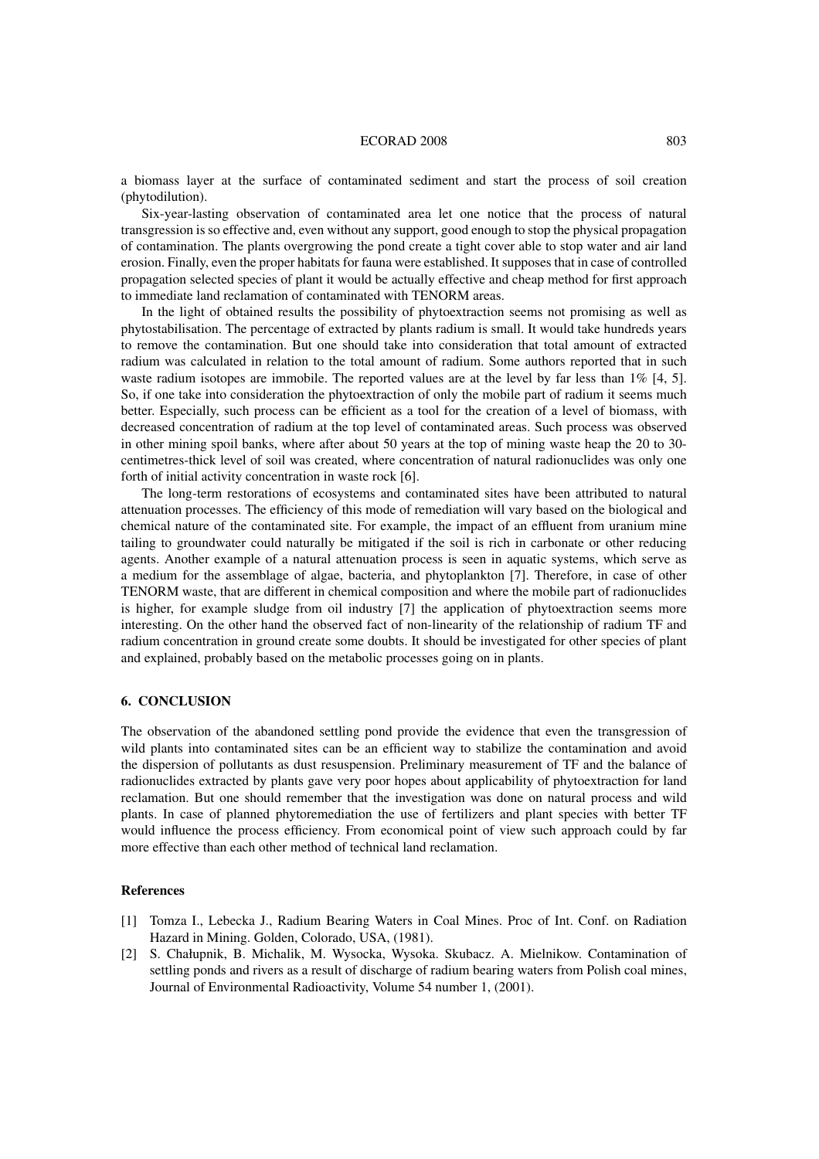#### ECORAD 2008 803

a biomass layer at the surface of contaminated sediment and start the process of soil creation (phytodilution).

Six-year-lasting observation of contaminated area let one notice that the process of natural transgression is so effective and, even without any support, good enough to stop the physical propagation of contamination. The plants overgrowing the pond create a tight cover able to stop water and air land erosion. Finally, even the proper habitats for fauna were established. It supposes that in case of controlled propagation selected species of plant it would be actually effective and cheap method for first approach to immediate land reclamation of contaminated with TENORM areas.

In the light of obtained results the possibility of phytoextraction seems not promising as well as phytostabilisation. The percentage of extracted by plants radium is small. It would take hundreds years to remove the contamination. But one should take into consideration that total amount of extracted radium was calculated in relation to the total amount of radium. Some authors reported that in such waste radium isotopes are immobile. The reported values are at the level by far less than 1% [4, 5]. So, if one take into consideration the phytoextraction of only the mobile part of radium it seems much better. Especially, such process can be efficient as a tool for the creation of a level of biomass, with decreased concentration of radium at the top level of contaminated areas. Such process was observed in other mining spoil banks, where after about 50 years at the top of mining waste heap the 20 to 30 centimetres-thick level of soil was created, where concentration of natural radionuclides was only one forth of initial activity concentration in waste rock [6].

The long-term restorations of ecosystems and contaminated sites have been attributed to natural attenuation processes. The efficiency of this mode of remediation will vary based on the biological and chemical nature of the contaminated site. For example, the impact of an effluent from uranium mine tailing to groundwater could naturally be mitigated if the soil is rich in carbonate or other reducing agents. Another example of a natural attenuation process is seen in aquatic systems, which serve as a medium for the assemblage of algae, bacteria, and phytoplankton [7]. Therefore, in case of other TENORM waste, that are different in chemical composition and where the mobile part of radionuclides is higher, for example sludge from oil industry [7] the application of phytoextraction seems more interesting. On the other hand the observed fact of non-linearity of the relationship of radium TF and radium concentration in ground create some doubts. It should be investigated for other species of plant and explained, probably based on the metabolic processes going on in plants.

# **6. CONCLUSION**

The observation of the abandoned settling pond provide the evidence that even the transgression of wild plants into contaminated sites can be an efficient way to stabilize the contamination and avoid the dispersion of pollutants as dust resuspension. Preliminary measurement of TF and the balance of radionuclides extracted by plants gave very poor hopes about applicability of phytoextraction for land reclamation. But one should remember that the investigation was done on natural process and wild plants. In case of planned phytoremediation the use of fertilizers and plant species with better TF would influence the process efficiency. From economical point of view such approach could by far more effective than each other method of technical land reclamation.

#### **References**

- [1] Tomza I., Lebecka J., Radium Bearing Waters in Coal Mines. Proc of Int. Conf. on Radiation Hazard in Mining. Golden, Colorado, USA, (1981).
- [2] S. Chałupnik, B. Michalik, M. Wysocka, Wysoka. Skubacz. A. Mielnikow. Contamination of settling ponds and rivers as a result of discharge of radium bearing waters from Polish coal mines, Journal of Environmental Radioactivity, Volume 54 number 1, (2001).